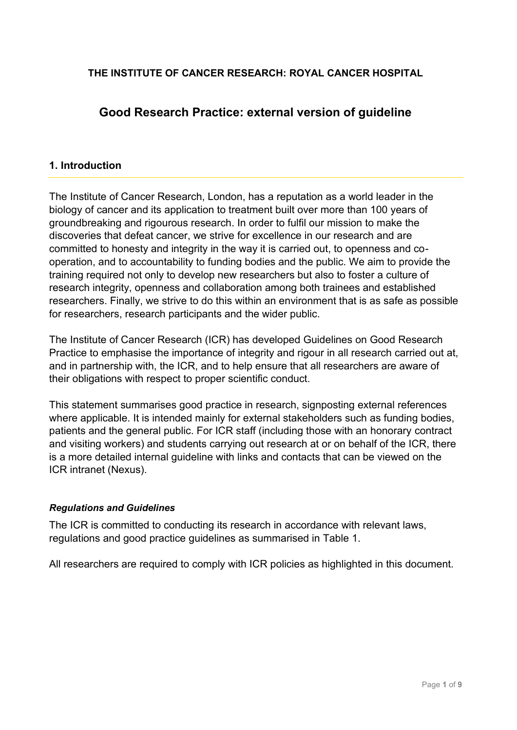## **THE INSTITUTE OF CANCER RESEARCH: ROYAL CANCER HOSPITAL**

# **Good Research Practice: external version of guideline**

## **1. Introduction**

The Institute of Cancer Research, London, has a reputation as a world leader in the biology of cancer and its application to treatment built over more than 100 years of groundbreaking and rigourous research. In order to fulfil our mission to make the discoveries that defeat cancer, we strive for excellence in our research and are committed to honesty and integrity in the way it is carried out, to openness and cooperation, and to accountability to funding bodies and the public. We aim to provide the training required not only to develop new researchers but also to foster a culture of research integrity, openness and collaboration among both trainees and established researchers. Finally, we strive to do this within an environment that is as safe as possible for researchers, research participants and the wider public.

The Institute of Cancer Research (ICR) has developed Guidelines on Good Research Practice to emphasise the importance of integrity and rigour in all research carried out at, and in partnership with, the ICR, and to help ensure that all researchers are aware of their obligations with respect to proper scientific conduct.

This statement summarises good practice in research, signposting external references where applicable. It is intended mainly for external stakeholders such as funding bodies, patients and the general public. For ICR staff (including those with an honorary contract and visiting workers) and students carrying out research at or on behalf of the ICR, there is a more detailed internal guideline with links and contacts that can be viewed on the ICR intranet (Nexus).

## *Regulations and Guidelines*

The ICR is committed to conducting its research in accordance with relevant laws, regulations and good practice guidelines as summarised in Table 1.

All researchers are required to comply with ICR policies as highlighted in this document.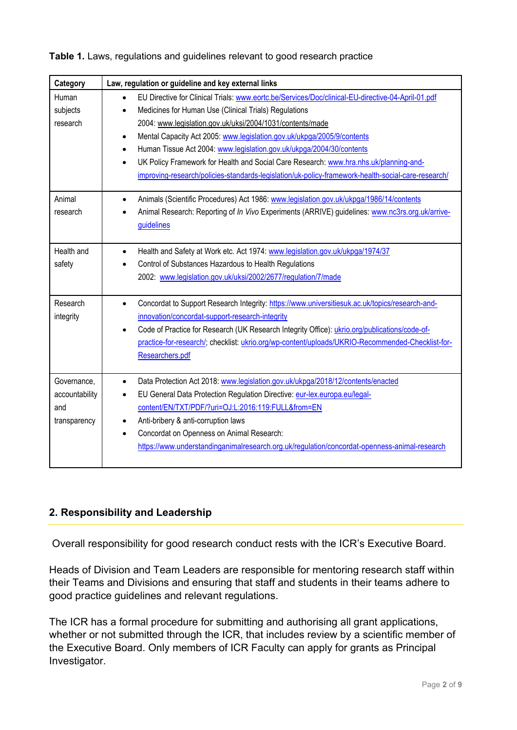| Category                                             | Law, regulation or guideline and key external links                                                                                                                                                                                                                                                                                                                                                                                                                                                                                                                                   |
|------------------------------------------------------|---------------------------------------------------------------------------------------------------------------------------------------------------------------------------------------------------------------------------------------------------------------------------------------------------------------------------------------------------------------------------------------------------------------------------------------------------------------------------------------------------------------------------------------------------------------------------------------|
| Human<br>subjects<br>research                        | EU Directive for Clinical Trials: www.eortc.be/Services/Doc/clinical-EU-directive-04-April-01.pdf<br>$\bullet$<br>Medicines for Human Use (Clinical Trials) Regulations<br>2004: www.legislation.gov.uk/uksi/2004/1031/contents/made<br>Mental Capacity Act 2005: www.legislation.gov.uk/ukpga/2005/9/contents<br>Human Tissue Act 2004: www.legislation.gov.uk/ukpga/2004/30/contents<br>UK Policy Framework for Health and Social Care Research: www.hra.nhs.uk/planning-and-<br>improving-research/policies-standards-legislation/uk-policy-framework-health-social-care-research/ |
| Animal<br>research                                   | Animals (Scientific Procedures) Act 1986: www.legislation.gov.uk/ukpga/1986/14/contents<br>Animal Research: Reporting of In Vivo Experiments (ARRIVE) guidelines: www.nc3rs.org.uk/arrive-<br>guidelines                                                                                                                                                                                                                                                                                                                                                                              |
| Health and<br>safety                                 | Health and Safety at Work etc. Act 1974: www.legislation.gov.uk/ukpga/1974/37<br>Control of Substances Hazardous to Health Regulations<br>2002: www.legislation.gov.uk/uksi/2002/2677/regulation/7/made                                                                                                                                                                                                                                                                                                                                                                               |
| Research<br>integrity                                | Concordat to Support Research Integrity: https://www.universitiesuk.ac.uk/topics/research-and-<br>innovation/concordat-support-research-integrity<br>Code of Practice for Research (UK Research Integrity Office): ukrio.org/publications/code-of-<br>practice-for-research/; checklist: ukrio.org/wp-content/uploads/UKRIO-Recommended-Checklist-for-<br>Researchers.pdf                                                                                                                                                                                                             |
| Governance,<br>accountability<br>and<br>transparency | Data Protection Act 2018: www.legislation.gov.uk/ukpga/2018/12/contents/enacted<br>$\bullet$<br>EU General Data Protection Regulation Directive: eur-lex.europa.eu/legal-<br>content/EN/TXT/PDF/?uri=OJ:L:2016:119:FULL&from=EN<br>Anti-bribery & anti-corruption laws<br>Concordat on Openness on Animal Research:<br>$\bullet$<br>https://www.understandinganimalresearch.org.uk/regulation/concordat-openness-animal-research                                                                                                                                                      |

## **Table 1.** Laws, regulations and guidelines relevant to good research practice

## **2. Responsibility and Leadership**

Overall responsibility for good research conduct rests with the ICR's Executive Board.

Heads of Division and Team Leaders are responsible for mentoring research staff within their Teams and Divisions and ensuring that staff and students in their teams adhere to good practice guidelines and relevant regulations.

The ICR has a formal procedure for submitting and authorising all grant applications, whether or not submitted through the ICR, that includes review by a scientific member of the Executive Board. Only members of ICR Faculty can apply for grants as Principal Investigator.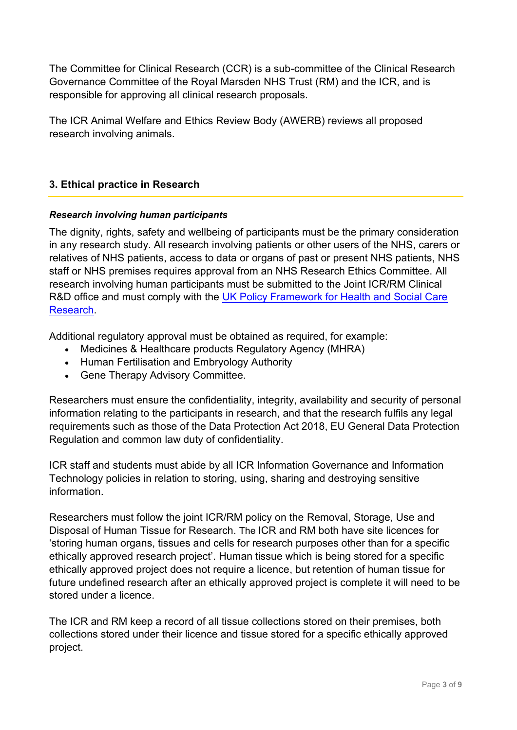The Committee for Clinical Research (CCR) is a sub-committee of the Clinical Research Governance Committee of the Royal Marsden NHS Trust (RM) and the ICR, and is responsible for approving all clinical research proposals.

The ICR Animal Welfare and Ethics Review Body (AWERB) reviews all proposed research involving animals.

## **3. Ethical practice in Research**

## *Research involving human participants*

The dignity, rights, safety and wellbeing of participants must be the primary consideration in any research study. All research involving patients or other users of the NHS, carers or relatives of NHS patients, access to data or organs of past or present NHS patients, NHS staff or NHS premises requires approval from an NHS Research Ethics Committee. All research involving human participants must be submitted to the Joint ICR/RM Clinical R&D office and must comply with the [UK Policy Framework for](https://www.hra.nhs.uk/planning-and-improving-research/policies-standards-legislation/uk-policy-framework-health-social-care-research/) Health and Social Care [Research.](https://www.hra.nhs.uk/planning-and-improving-research/policies-standards-legislation/uk-policy-framework-health-social-care-research/)

Additional regulatory approval must be obtained as required, for example:

- Medicines & Healthcare products Regulatory Agency (MHRA)
- Human Fertilisation and Embryology Authority
- Gene Therapy Advisory Committee.

Researchers must ensure the confidentiality, integrity, availability and security of personal information relating to the participants in research, and that the research fulfils any legal requirements such as those of the Data Protection Act 2018, EU General Data Protection Regulation and common law duty of confidentiality.

ICR staff and students must abide by all ICR Information Governance and Information Technology policies in relation to storing, using, sharing and destroying sensitive information.

Researchers must follow the joint ICR/RM policy on the Removal, Storage, Use and Disposal of Human Tissue for Research. The ICR and RM both have site licences for 'storing human organs, tissues and cells for research purposes other than for a specific ethically approved research project'. Human tissue which is being stored for a specific ethically approved project does not require a licence, but retention of human tissue for future undefined research after an ethically approved project is complete it will need to be stored under a licence.

The ICR and RM keep a record of all tissue collections stored on their premises, both collections stored under their licence and tissue stored for a specific ethically approved project.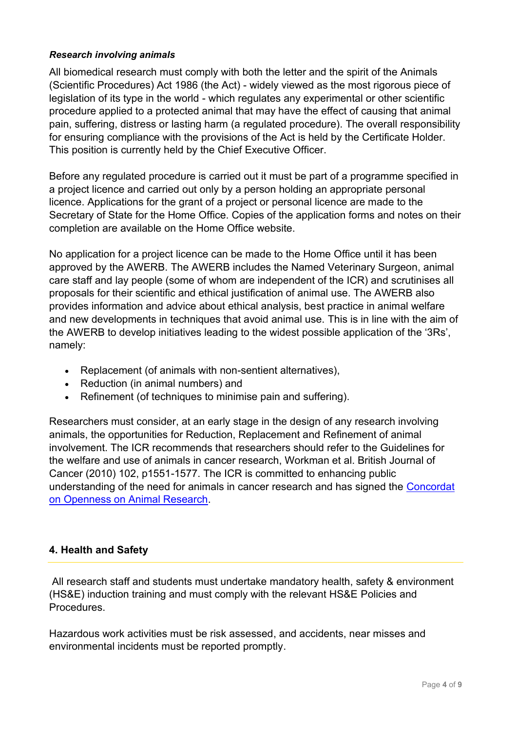#### *Research involving animals*

All biomedical research must comply with both the letter and the spirit of the Animals (Scientific Procedures) Act 1986 (the Act) - widely viewed as the most rigorous piece of legislation of its type in the world - which regulates any experimental or other scientific procedure applied to a protected animal that may have the effect of causing that animal pain, suffering, distress or lasting harm (a regulated procedure). The overall responsibility for ensuring compliance with the provisions of the Act is held by the Certificate Holder. This position is currently held by the Chief Executive Officer.

Before any regulated procedure is carried out it must be part of a programme specified in a project licence and carried out only by a person holding an appropriate personal licence. Applications for the grant of a project or personal licence are made to the Secretary of State for the Home Office. Copies of the application forms and notes on their completion are available on the Home Office website.

No application for a project licence can be made to the Home Office until it has been approved by the AWERB. The AWERB includes the Named Veterinary Surgeon, animal care staff and lay people (some of whom are independent of the ICR) and scrutinises all proposals for their scientific and ethical justification of animal use. The AWERB also provides information and advice about ethical analysis, best practice in animal welfare and new developments in techniques that avoid animal use. This is in line with the aim of the AWERB to develop initiatives leading to the widest possible application of the '3Rs', namely:

- Replacement (of animals with non-sentient alternatives),
- Reduction (in animal numbers) and
- Refinement (of techniques to minimise pain and suffering).

Researchers must consider, at an early stage in the design of any research involving animals, the opportunities for Reduction, Replacement and Refinement of animal involvement. The ICR recommends that researchers should refer to the Guidelines for the welfare and use of animals in cancer research, Workman et al. British Journal of Cancer (2010) 102, p1551-1577. The ICR is committed to enhancing public understanding of the need for animals in cancer research and has signed the [Concordat](https://www.understandinganimalresearch.org.uk/regulation/concordat-openness-animal-research)  [on Openness on Animal Research.](https://www.understandinganimalresearch.org.uk/regulation/concordat-openness-animal-research)

## **4. Health and Safety**

All research staff and students must undertake mandatory health, safety & environment (HS&E) induction training and must comply with the relevant HS&E Policies and Procedures.

Hazardous work activities must be risk assessed, and accidents, near misses and environmental incidents must be reported promptly.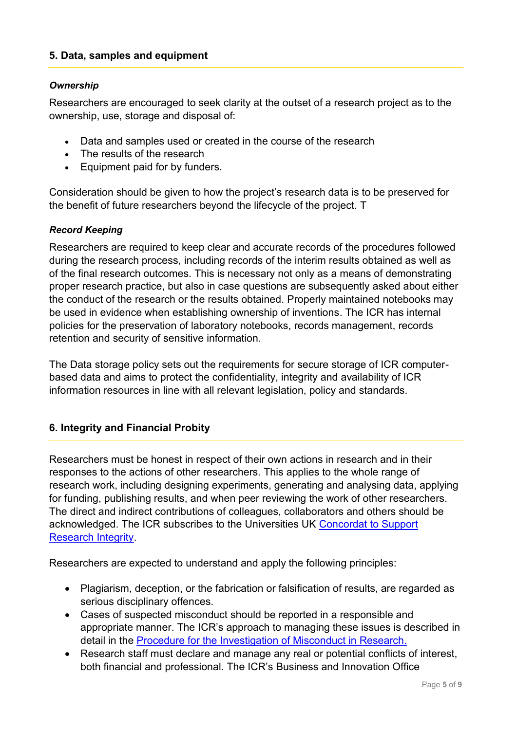## **5. Data, samples and equipment**

### *Ownership*

Researchers are encouraged to seek clarity at the outset of a research project as to the ownership, use, storage and disposal of:

- Data and samples used or created in the course of the research
- The results of the research
- Equipment paid for by funders.

Consideration should be given to how the project's research data is to be preserved for the benefit of future researchers beyond the lifecycle of the project. T

#### *Record Keeping*

Researchers are required to keep clear and accurate records of the procedures followed during the research process, including records of the interim results obtained as well as of the final research outcomes. This is necessary not only as a means of demonstrating proper research practice, but also in case questions are subsequently asked about either the conduct of the research or the results obtained. Properly maintained notebooks may be used in evidence when establishing ownership of inventions. The ICR has internal policies for the preservation of laboratory notebooks, records management, records retention and security of sensitive information.

The Data storage policy sets out the requirements for secure storage of ICR computerbased data and aims to protect the confidentiality, integrity and availability of ICR information resources in line with all relevant legislation, policy and standards.

#### **6. Integrity and Financial Probity**

Researchers must be honest in respect of their own actions in research and in their responses to the actions of other researchers. This applies to the whole range of research work, including designing experiments, generating and analysing data, applying for funding, publishing results, and when peer reviewing the work of other researchers. The direct and indirect contributions of colleagues, collaborators and others should be acknowledged. The ICR subscribes to the Universities UK Concordat to Support [Research Integrity.](https://www.universitiesuk.ac.uk/topics/research-and-innovation/concordat-support-research-integrity)

Researchers are expected to understand and apply the following principles:

- Plagiarism, deception, or the fabrication or falsification of results, are regarded as serious disciplinary offences.
- Cases of suspected misconduct should be reported in a responsible and appropriate manner. The ICR's approach to managing these issues is described in detail in the [Procedure for the Investigation of Misconduct in Research.](https://www.icr.ac.uk/media/docs/default-source/corporate-docs-accounts-and-annual-reports/annual-accounts/misconduct-in-research.pdf?sfvrsn=e6db5269_6)
- Research staff must declare and manage any real or potential conflicts of interest, both financial and professional. The ICR's Business and Innovation Office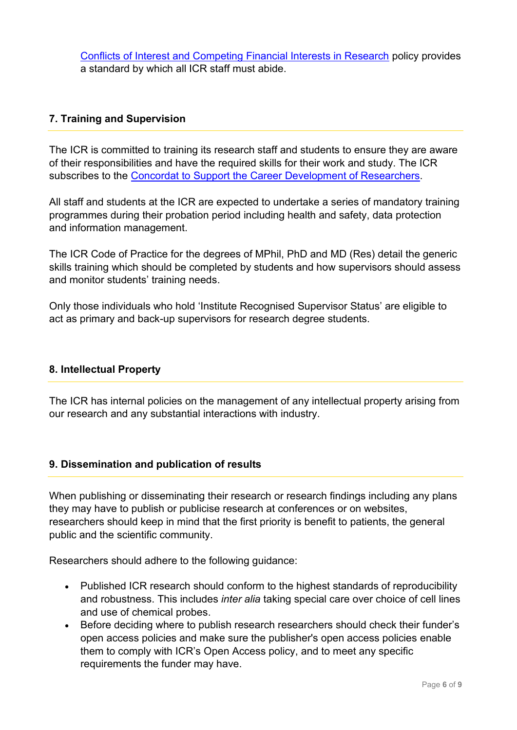[Conflicts of Interest and Competing Financial Interests in Research](https://www.icr.ac.uk/legal/conflicts-of-interest-and-competing-financial-interests-in-research) policy provides a standard by which all ICR staff must abide.

## **7. Training and Supervision**

The ICR is committed to training its research staff and students to ensure they are aware of their responsibilities and have the required skills for their work and study. The ICR subscribes to the [Concordat to Support the Career Development of Researchers.](https://researcherdevelopmentconcordat.ac.uk/)

All staff and students at the ICR are expected to undertake a series of mandatory training programmes during their probation period including health and safety, data protection and information management.

The ICR Code of Practice for the degrees of MPhil, PhD and MD (Res) detail the generic skills training which should be completed by students and how supervisors should assess and monitor students' training needs.

Only those individuals who hold 'Institute Recognised Supervisor Status' are eligible to act as primary and back-up supervisors for research degree students.

## **8. Intellectual Property**

The ICR has internal policies on the management of any intellectual property arising from our research and any substantial interactions with industry.

## **9. Dissemination and publication of results**

When publishing or disseminating their research or research findings including any plans they may have to publish or publicise research at conferences or on websites, researchers should keep in mind that the first priority is benefit to patients, the general public and the scientific community.

Researchers should adhere to the following guidance:

- Published ICR research should conform to the highest standards of reproducibility and robustness. This includes *inter alia* taking special care over choice of cell lines and use of chemical probes.
- Before deciding where to publish research researchers should check their funder's open access policies and make sure the [publisher's open access policies](http://ispace.icr.ac.uk/corporate/departments/academicServices/RSU/Repository/PublishersOpenAccess/Pages/default.aspx) enable them to comply with ICR's Open Access policy, and to meet any specific requirements the funder may have.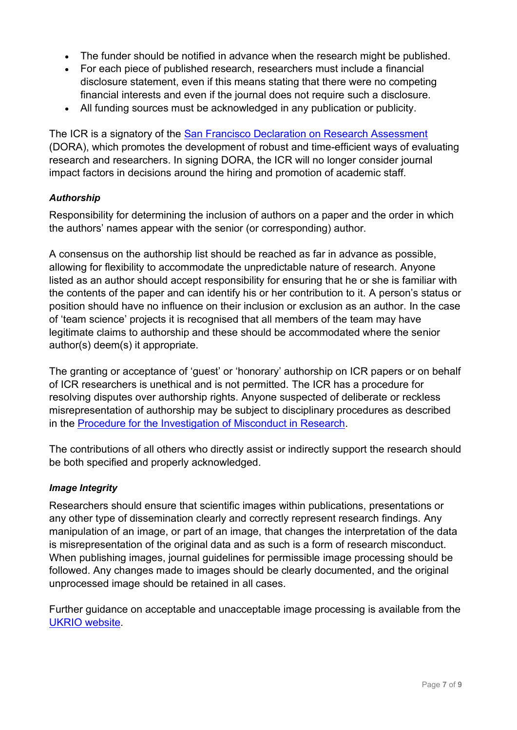- The funder should be notified in advance when the research might be published.
- For each piece of published research, researchers must include a financial disclosure statement, even if this means stating that there were no competing financial interests and even if the journal does not require such a disclosure.
- All funding sources must be acknowledged in any publication or publicity.

The ICR is a signatory of the **San Francisco Declaration on Research Assessment** (DORA), which promotes the development of robust and time-efficient ways of evaluating research and researchers. In signing DORA, the ICR will no longer consider journal impact factors in decisions around the hiring and promotion of academic staff.

## *Authorship*

Responsibility for determining the inclusion of authors on a paper and the order in which the authors' names appear with the senior (or corresponding) author.

A consensus on the authorship list should be reached as far in advance as possible, allowing for flexibility to accommodate the unpredictable nature of research. Anyone listed as an author should accept responsibility for ensuring that he or she is familiar with the contents of the paper and can identify his or her contribution to it. A person's status or position should have no influence on their inclusion or exclusion as an author. In the case of 'team science' projects it is recognised that all members of the team may have legitimate claims to authorship and these should be accommodated where the senior author(s) deem(s) it appropriate.

The granting or acceptance of 'guest' or 'honorary' authorship on ICR papers or on behalf of ICR researchers is unethical and is not permitted. The ICR has a procedure for resolving disputes over authorship rights. Anyone suspected of deliberate or reckless misrepresentation of authorship may be subject to disciplinary procedures as described in the [Procedure for the Investigation of Misconduct in Research.](https://www.icr.ac.uk/media/docs/default-source/corporate-docs-accounts-and-annual-reports/annual-accounts/misconduct-in-research.pdf?sfvrsn=e6db5269_6)

The contributions of all others who directly assist or indirectly support the research should be both specified and properly acknowledged.

## *Image Integrity*

Researchers should ensure that scientific images within publications, presentations or any other type of dissemination clearly and correctly represent research findings. Any manipulation of an image, or part of an image, that changes the interpretation of the data is misrepresentation of the original data and as such is a form of research misconduct. When publishing images, journal guidelines for permissible image processing should be followed. Any changes made to images should be clearly documented, and the original unprocessed image should be retained in all cases.

Further guidance on acceptable and unacceptable image processing is available from the [UKRIO website.](https://ukrio.org/research-integrity-resources/academic-image-integrity/)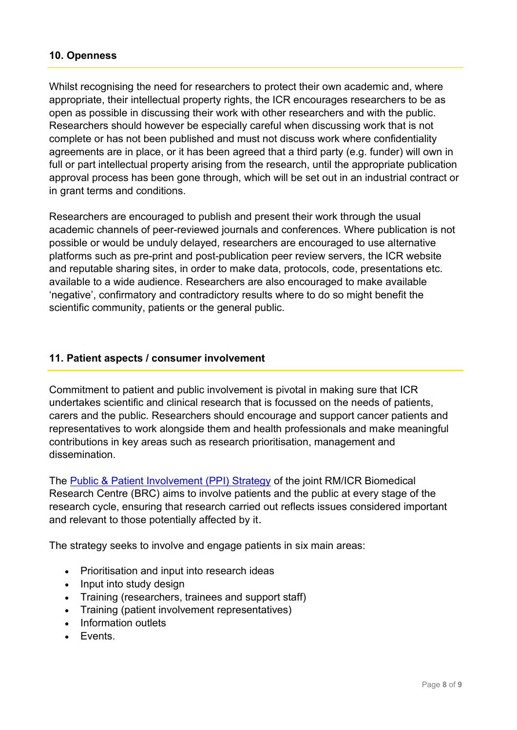## **10. Openness**

Whilst recognising the need for researchers to protect their own academic and, where appropriate, their intellectual property rights, the ICR encourages researchers to be as open as possible in discussing their work with other researchers and with the public. Researchers should however be especially careful when discussing work that is not complete or has not been published and must not discuss work where confidentiality agreements are in place, or it has been agreed that a third party (e.g. funder) will own in full or part intellectual property arising from the research, until the appropriate publication approval process has been gone through, which will be set out in an industrial contract or in grant terms and conditions.

Researchers are encouraged to publish and present their work through the usual academic channels of peer-reviewed journals and conferences. Where publication is not possible or would be unduly delayed, researchers are encouraged to use alternative platforms such as pre-print and post-publication peer review servers, the ICR website and reputable sharing sites, in order to make data, protocols, code, presentations etc. available to a wide audience. Researchers are also encouraged to make available 'negative', confirmatory and contradictory results where to do so might benefit the scientific community, patients or the general public.

## **11. Patient aspects / consumer involvement**

Commitment to patient and public involvement is pivotal in making sure that ICR undertakes scientific and clinical research that is focussed on the needs of patients, carers and the public. Researchers should encourage and support cancer patients and representatives to work alongside them and health professionals and make meaningful contributions in key areas such as research prioritisation, management and dissemination.

The [Public & Patient Involvement \(PPI\) Strategy](https://www.cancerbrc.org/patient-and-public-involvement-and-engagement/what-patient-and-public-involvement-and-engagement-brc) of the joint RM/ICR Biomedical Research Centre (BRC) aims to involve patients and the public at every stage of the research cycle, ensuring that research carried out reflects issues considered important and relevant to those potentially affected by it.

The strategy seeks to involve and engage patients in six main areas:

- Prioritisation and input into research ideas
- Input into study design
- Training (researchers, trainees and support staff)
- Training (patient involvement representatives)
- Information outlets
- **F**vents